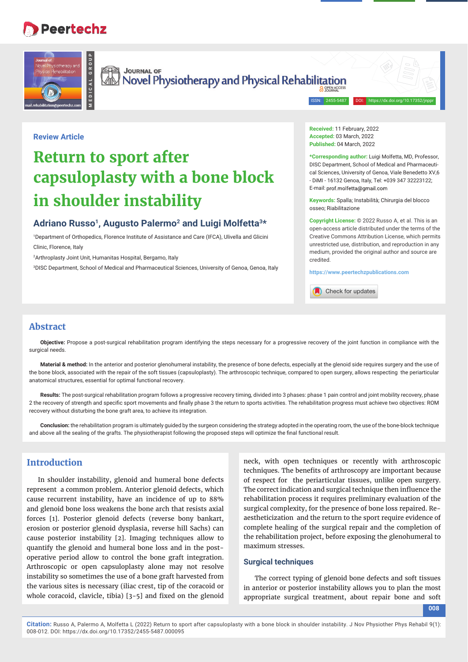# **Peertechz**

**MEDICAL GROUP**



Sea Journal of<br>All Novel Physiotherapy and Physical Rehabilitation

ISSN: 2455-5487

## **Review Article**

# **Return to sport after capsuloplasty with a bone block in shoulder instability**

## Adriano Russo<sup>1</sup>, Augusto Palermo<sup>2</sup> and Luigi Molfetta<sup>3\*</sup>

1 Department of Orthopedics, Florence Institute of Assistance and Care (IFCA), Ulivella and Glicini Clinic, Florence, Italy

2 Arthroplasty Joint Unit, Humanitas Hospital, Bergamo, Italy

3 DISC Department, School of Medical and Pharmaceutical Sciences, University of Genoa, Genoa, Italy

**Received:** 11 February, 2022 **Accepted:** 03 March, 2022 **Published:** 04 March, 2022

**\*Corresponding author:** Luigi Molfetta, MD, Professor, DISC Department, School of Medical and Pharmaceutical Sciences, University of Genoa, Viale Benedetto XV,6 - DiMI - 16132 Genoa, Italy, Tel: +039 347 32223122; E-mail: prof molfetta@gmail.com

**Keywords:** Spalla; Instabilità; Chirurgia del blocco osseo; Riabilitazione

**Copyright License:** © 2022 Russo A, et al. This is an open-access article distributed under the terms of the Creative Commons Attribution License, which permits unrestricted use, distribution, and reproduction in any medium, provided the original author and source are credited.

**https://www.peertechzpublications.com**



## **Abstract**

**Objective:** Propose a post-surgical rehabilitation program identifying the steps necessary for a progressive recovery of the joint function in compliance with the surgical needs.

**Material & method:** In the anterior and posterior glenohumeral instability, the presence of bone defects, especially at the glenoid side requires surgery and the use of the bone block, associated with the repair of the soft tissues (capsuloplasty). The arthroscopic technique, compared to open surgery, allows respecting the periarticular anatomical structures, essential for optimal functional recovery.

Results: The post-surgical rehabilitation program follows a progressive recovery timing, divided into 3 phases: phase 1 pain control and joint mobility recovery, phase 2 the recovery of strength and specific sport movements and finally phase 3 the return to sports activities. The rehabilitation progress must achieve two objectives: ROM recovery without disturbing the bone graft area, to achieve its integration.

**Conclusion:** the rehabilitation program is ultimately guided by the surgeon considering the strategy adopted in the operating room, the use of the bone-block technique and above all the sealing of the grafts. The physiotherapist following the proposed steps will optimize the final functional result.

## **Introduction**

In shoulder instability, glenoid and humeral bone defects represent a common problem. Anterior glenoid defects, which cause recurrent instability, have an incidence of up to 88% and glenoid bone loss weakens the bone arch that resists axial forces [1]. Posterior glenoid defects (reverse bony bankart, erosion or posterior glenoid dysplasia, reverse hill Sachs) can cause posterior instability [2]. Imaging techniques allow to quantify the glenoid and humeral bone loss and in the postoperative period allow to control the bone graft integration. Arthroscopic or open capsuloplasty alone may not resolve instability so sometimes the use of a bone graft harvested from the various sites is necessary (iliac crest, tip of the coracoid or whole coracoid, clavicle, tibia)  $[3-5]$  and fixed on the glenoid neck, with open techniques or recently with arthroscopic techniques. The benefits of arthroscopy are important because of respect for the periarticular tissues, unlike open surgery. The correct indication and surgical technique then influence the rehabilitation process it requires preliminary evaluation of the surgical complexity, for the presence of bone loss repaired. Reaestheticization and the return to the sport require evidence of complete healing of the surgical repair and the completion of the rehabilitation project, before exposing the glenohumeral to maximum stresses.

### **Surgical techniques**

The correct typing of glenoid bone defects and soft tissues in anterior or posterior instability allows you to plan the most appropriate surgical treatment, about repair bone and soft

**008**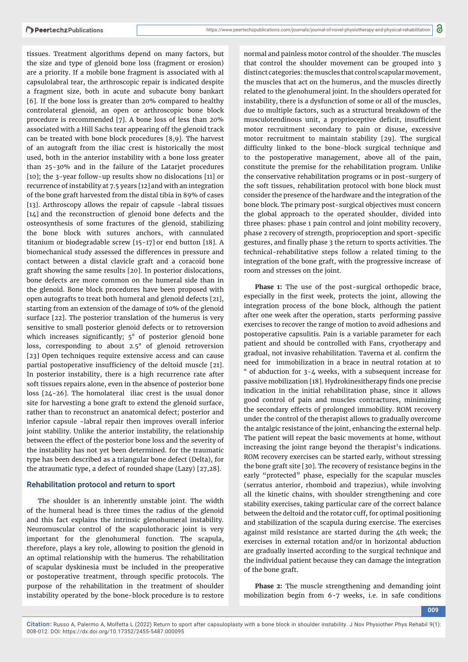tissues. Treatment algorithms depend on many factors, but the size and type of glenoid bone loss (fragment or erosion) are a priority. If a mobile bone fragment is associated with al capsulolabral tear, the arthroscopic repair is indicated despite a fragment size, both in acute and subacute bony bankart [6]. If the bone loss is greater than 20% compared to healthy controlateral glenoid, an open or arthroscopic bone block procedure is recommended [7]. A bone loss of less than 20% associated with a Hill Sachs tear appearing off the glenoid track can be treated with bone block procedures [8,9]. The harvest of an autograft from the iliac crest is historically the most used, both in the anterior instability with a bone loss greater than 25-30% and in the failure of the Latarjet procedures [10]; the 3-year follow-up results show no dislocations [11] or recurrence of instability at 7.5 years [12]and with an integration of the bone graft harvested from the distal tibia in 89% of cases [13]. Arthroscopy allows the repair of capsule -labral tissues  $[14]$  and the reconstruction of glenoid bone defects and the osteosynthesis of some fractures of the glenoid, stabilizing the bone block with sutures anchors, with cannulated titanium or biodegradable screw [15-17] or end button [18]. A biomechanical study assessed the differences in pressure and contact between a distal clavicle graft and a coracoid bone graft showing the same results [20]. In posterior dislocations, bone defects are more common on the humeral side than in the glenoid. Bone block procedures have been proposed with open autografts to treat both humeral and glenoid defects [21], starting from an extension of the damage of 10% of the glenoid surface [22]. The posterior translation of the humerus is very sensitive to small posterior glenoid defects or to retroversion which increases significantly; 5° of posterior glenoid bone loss, corresponding to about 2.5° of glenoid retroversion [23] Open techniques require extensive access and can cause partial postoperative insufficiency of the deltoid muscle [21]. In posterior instability, there is a high recurrence rate after soft tissues repairs alone, even in the absence of posterior bone loss [24-26]. The homolateral iliac crest is the usual donor site for harvesting a bone graft to extend the glenoid surface, rather than to reconstruct an anatomical defect; posterior and inferior capsule -labral repair then improves overall inferior joint stability. Unlike the anterior instability, the relationship between the effect of the posterior bone loss and the severity of the instability has not yet been determined. for the traumatic type has been described as a triangular bone defect (Delta), for the atraumatic type, a defect of rounded shape (Lazy) [27,28].

### **Rehabilitation protocol and return to sport**

The shoulder is an inherently unstable joint. The width of the humeral head is three times the radius of the glenoid and this fact explains the intrinsic glenohumeral instability. Neuromuscular control of the scapulothoracic joint is very important for the glenohumeral function. The scapula, therefore, plays a key role, allowing to position the glenoid in an optimal relationship with the humerus. The rehabilitation of scapular dyskinesia must be included in the preoperative or postoperative treatment, through specific protocols. The purpose of the rehabilitation in the treatment of shoulder instability operated by the bone-block procedure is to restore

normal and painless motor control of the shoulder. The muscles that control the shoulder movement can be grouped into 3 distinct categories: the muscles that control scapular movement, the muscles that act on the humerus, and the muscles directly related to the glenohumeral joint. In the shoulders operated for instability, there is a dysfunction of some or all of the muscles, due to multiple factors, such as a structural breakdown of the musculotendinous unit, a proprioceptive deficit, insufficient motor recruitment secondary to pain or disuse, excessive motor recruitment to maintain stability [29]. The surgical difficulty linked to the bone-block surgical technique and to the postoperative management, above all of the pain, constitute the premise for the rehabilitation program. Unlike the conservative rehabilitation programs or in post-surgery of the soft tissues, rehabilitation protocol with bone block must consider the presence of the hardware and the integration of the bone block. The primary post-surgical objectives must concern the global approach to the operated shoulder, divided into three phases: phase 1 pain control and joint mobility recovery, phase 2 recovery of strength, proprioception and sport-specific gestures, and finally phase 3 the return to sports activities. The technical-rehabilitative steps follow a related timing to the integration of the bone graft, with the progressive increase of room and stresses on the joint.

**Phase 1:** The use of the post-surgical orthopedic brace, especially in the first week, protects the joint, allowing the integration process of the bone block, although the patient after one week after the operation, starts performing passive exercises to recover the range of motion to avoid adhesions and postoperative capsulitis. Pain is a variable parameter for each patient and should be controlled with Fans, cryotherapy and gradual, not invasive rehabilitation. Taverna et al. confirm the need for immobilization in a brace in neutral rotation at 10 ° of abduction for 3-4 weeks, with a subsequent increase for passive mobilization [18]. Hydrokinesitherapy finds one precise indication in the initial rehabilitation phase, since it allows good control of pain and muscles contractures, minimizing the secondary effects of prolonged immobility. ROM recovery under the control of the therapist allows to gradually overcome the antalgic resistance of the joint, enhancing the external help. The patient will repeat the basic movements at home, without increasing the joint range beyond the therapist's indications. ROM recovery exercises can be started early, without stressing the bone graft site [30]. The recovery of resistance begins in the early "protected" phase, especially for the scapular muscles (serratus anterior, rhomboid and trapezius), while involving all the kinetic chains, with shoulder strengthening and core stability exercises, taking particular care of the correct balance between the deltoid and the rotator cuff, for optimal positioning and stabilization of the scapula during exercise. The exercises against mild resistance are started during the 4th week; the exercises in external rotation and/or in horizontal abduction are gradually inserted according to the surgical technique and the individual patient because they can damage the integration of the bone graft.

**Phase 2:** The muscle strengthening and demanding joint mobilization begin from 6-7 weeks, i.e. in safe conditions

**Citation:** Russo A, Palermo A, Molfetta L (2022) Return to sport after capsuloplasty with a bone block in shoulder instability. J Nov Physiother Phys Rehabil 9(1): 008-012. DOI: https://dx.doi.org/10.17352/2455-5487.000095

**009**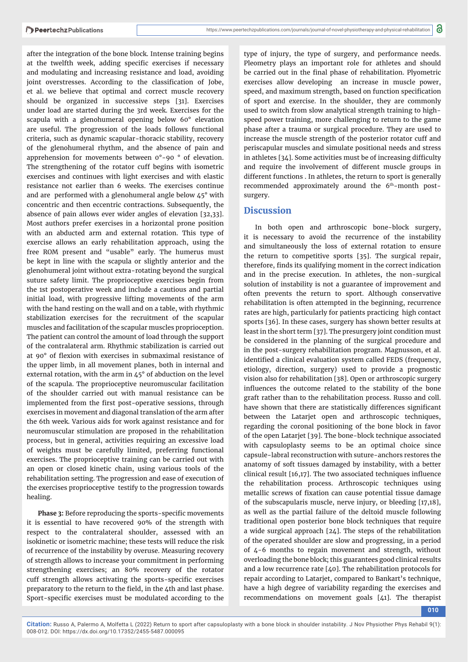after the integration of the bone block. Intense training begins at the twelfth week, adding specific exercises if necessary and modulating and increasing resistance and load, avoiding joint overstresses. According to the classification of Jobe, et al. we believe that optimal and correct muscle recovery should be organized in successive steps [31]. Exercises under load are started during the 3rd week. Exercises for the scapula with a glenohumeral opening below 60° elevation are useful. The progression of the loads follows functional criteria, such as dynamic scapular-thoracic stability, recovery of the glenohumeral rhythm, and the absence of pain and apprehension for movements between 0°-90 ° of elevation. The strengthening of the rotator cuff begins with isometric exercises and continues with light exercises and with elastic resistance not earlier than 6 weeks. The exercises continue and are performed with a glenohumeral angle below 45° with concentric and then eccentric contractions. Subsequently, the absence of pain allows ever wider angles of elevation [32,33]. Most authors prefer exercises in a horizontal prone position with an abducted arm and external rotation. This type of exercise allows an early rehabilitation approach, using the free ROM present and "usable" early. The humerus must be kept in line with the scapula or slightly anterior and the glenohumeral joint without extra-rotating beyond the surgical suture safety limit. The proprioceptive exercises begin from the 1st postoperative week and include a cautious and partial initial load, with progressive lifting movements of the arm with the hand resting on the wall and on a table, with rhythmic stabilization exercises for the recruitment of the scapular muscles and facilitation of the scapular muscles proprioception. The patient can control the amount of load through the support of the contralateral arm. Rhythmic stabilization is carried out at 90° of flexion with exercises in submaximal resistance of the upper limb, in all movement planes, both in internal and external rotation, with the arm in 45° of abduction on the level of the scapula. The proprioceptive neuromuscular facilitation of the shoulder carried out with manual resistance can be implemented from the first post-operative sessions, through exercises in movement and diagonal translation of the arm after the 6th week. Various aids for work against resistance and for neuromuscular stimulation are proposed in the rehabilitation process, but in general, activities requiring an excessive load of weights must be carefully limited, preferring functional exercises. The proprioceptive training can be carried out with an open or closed kinetic chain, using various tools of the rehabilitation setting. The progression and ease of execution of the exercises proprioceptive testify to the progression towards healing.

Phase 3: Before reproducing the sports-specific movements it is essential to have recovered 90% of the strength with respect to the contralateral shoulder, assessed with an isokinetic or isometric machine; these tests will reduce the risk of recurrence of the instability by overuse. Measuring recovery of strength allows to increase your commitment in performing strengthening exercises; an 80% recovery of the rotator cuff strength allows activating the sports-specific exercises preparatory to the return to the field, in the 4th and last phase. Sport-specific exercises must be modulated according to the

type of injury, the type of surgery, and performance needs. Pleometry plays an important role for athletes and should be carried out in the final phase of rehabilitation. Plyometric exercises allow developing an increase in muscle power, speed, and maximum strength, based on function specification of sport and exercise. In the shoulder, they are commonly used to switch from slow analytical strength training to highspeed power training, more challenging to return to the game phase after a trauma or surgical procedure. They are used to increase the muscle strength of the posterior rotator cuff and periscapular muscles and simulate positional needs and stress in athletes  $[34]$ . Some activities must be of increasing difficulty and require the involvement of different muscle groups in different functions . In athletes, the return to sport is generally recommended approximately around the 6<sup>th</sup>-month postsurgery.

## **Discussion**

In both open and arthroscopic bone-block surgery, it is necessary to avoid the recurrence of the instability and simultaneously the loss of external rotation to ensure the return to competitive sports [35]. The surgical repair, therefore, finds its qualifying moment in the correct indication and in the precise execution. In athletes, the non-surgical solution of instability is not a guarantee of improvement and often prevents the return to sport. Although conservative rehabilitation is often attempted in the beginning, recurrence rates are high, particularly for patients practicing high contact sports [36]. In these cases, surgery has shown better results at least in the short term [37]. The presurgery joint condition must be considered in the planning of the surgical procedure and in the post-surgery rehabilitation program. Magnusson, et al. identified a clinical evaluation system called FEDS (frequency, etiology, direction, surgery) used to provide a prognostic vision also for rehabilitation [38]. Open or arthroscopic surgery influences the outcome related to the stability of the bone graft rather than to the rehabilitation process. Russo and coll. have shown that there are statistically differences significant between the Latarjet open and arthroscopic techniques, regarding the coronal positioning of the bone block in favor of the open Latarjet [39]. The bone-block technique associated with capsuloplasty seems to be an optimal choice since capsule-labral reconstruction with suture-anchors restores the anatomy of soft tissues damaged by instability, with a better clinical result  $[16,17]$ . The two associated techniques influence the rehabilitation process. Arthroscopic techniques using metallic screws of fixation can cause potential tissue damage of the subscapularis muscle, nerve injury, or bleeding [17,18], as well as the partial failure of the deltoid muscle following traditional open posterior bone block techniques that require a wide surgical approach [24]. The steps of the rehabilitation of the operated shoulder are slow and progressing, in a period of 4-6 months to regain movement and strength, without overloading the bone block; this guarantees good clinical results and a low recurrence rate [40]. The rehabilitation protocols for repair according to Latarjet, compared to Bankart's technique, have a high degree of variability regarding the exercises and recommendations on movement goals [41]. The therapist

**010**

**Citation:** Russo A, Palermo A, Molfetta L (2022) Return to sport after capsuloplasty with a bone block in shoulder instability. J Nov Physiother Phys Rehabil 9(1): 008-012. DOI: https://dx.doi.org/10.17352/2455-5487.000095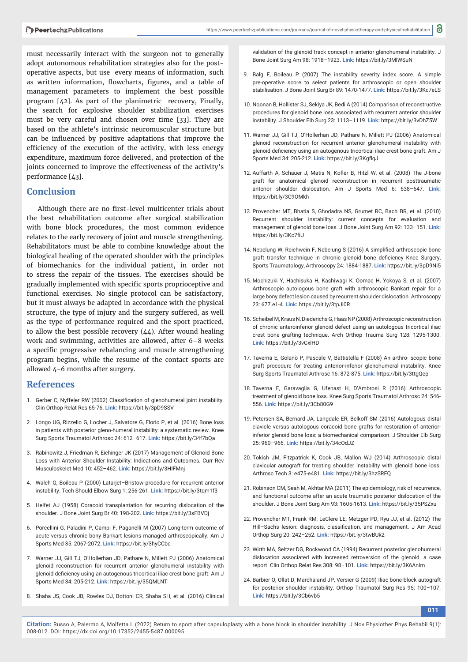must necessarily interact with the surgeon not to generally adopt autonomous rehabilitation strategies also for the postoperative aspects, but use every means of information, such as written information, flowcharts, figures, and a table of management parameters to implement the best possible program [42]. As part of the planimetric recovery, Finally, the search for explosive shoulder stabilization exercises must be very careful and chosen over time [33]. They are based on the athlete's intrinsic neuromuscular structure but can be influenced by positive adaptations that improve the efficiency of the execution of the activity, with less energy expenditure, maximum force delivered, and protection of the joints concerned to improve the effectiveness of the activity's performance [43].

## **Conclusion**

Although there are no first-level multicenter trials about the best rehabilitation outcome after surgical stabilization with bone block procedures, the most common evidence relates to the early recovery of joint and muscle strengthening. Rehabilitators must be able to combine knowledge about the biological healing of the operated shoulder with the principles of biomechanics for the individual patient, in order not to stress the repair of the tissues. The exercises should be gradually implemented with specific sports proprioceptive and functional exercises. No single protocol can be satisfactory, but it must always be adapted in accordance with the physical structure, the type of injury and the surgery suffered, as well as the type of performance required and the sport practiced, to allow the best possible recovery  $(44)$ . After wound healing work and swimming, activities are allowed, after 6–8 weeks a specific progressive rebalancing and muscle strengthening program begins, while the resume of the contact sports are allowed 4-6 months after surgery.

## **References**

- 1. Gerber C, Nyffeler RW (2002) Classification of glenohumeral joint instability. Clin Orthop Relat Res 65-76. **Link:** https://bit.ly/3pD9SSV
- 2. Longo UG, Rizzello G, Locher J, Salvatore G, Florio P, et al. (2016) Bone loss in patients with posterior gleno-humeral instability: a systematic review. Knee Surg Sports Traumatol Arthrosc 24: 612–617. **Link:** https://bit.ly/34f7bQa
- 3. Rabinowitz J, Friedman R, Eichinger JK (2017) Management of Glenoid Bone Loss with Anterior Shoulder Instability: Indications and Outcomes. Curr Rev Musculoskelet Med 10: 452–462. **Link:** https://bit.ly/3HIFMnj
- 4. Walch G, Boileau P (2000) Latarjet–Bristow procedure for recurrent anterior instability. Tech Should Elbow Surg 1: 256-261. **Link:** https://bit.ly/3tqm1f3
- 5. Helfet AJ (1958) Coracoid transplantation for recurring dislocation of the shoulder. J Bone Joint Surg Br 40: 198-202. **Link:** https://bit.ly/3sFBVDj
- 6. Porcellini G, Paladini P, Campi F, Paganelli M (2007) Long-term outcome of acute versus chronic bony Bankart lesions managed arthroscopically. Am J Sports Med 35: 2067-2072. **Link:** https://bit.ly/3hyCCbc
- 7. Warner JJ, Gill TJ, O'Hollerhan JD, Pathare N, Millett PJ (2006) Anatomical glenoid reconstruction for recurrent anterior glenohumeral instability with glenoid deficiency using an autogenous tricortical iliac crest bone graft. Am J Sports Med 34: 205-212. **Link:** https://bit.ly/35QMLNT
- 8. Shaha JS, Cook JB, Rowles DJ, Bottoni CR, Shaha SH, et al. (2016) Clinical

validation of the glenoid track concept in anterior glenohumeral instability. J Bone Joint Surg Am 98: 1918–1923. **Link:** https://bit.ly/3MlWSuN

- 9. Balg F, Boileau P (2007) The instability severity index score. A simple pre-operative score to select patients for arthroscopic or open shoulder stabilisation. J Bone Joint Surg Br 89: 1470-1477. **Link:** https://bit.ly/3Kc7eLS
- 10. Noonan B, Hollister SJ, Sekiya JK, Bedi A (2014) Comparison of reconstructive procedures for glenoid bone loss associated with recurrent anterior shoulder instability. J Shoulder Elb Surg 23: 1113–1119. **Link:** https://bit.ly/3vDhZ5W
- 11. Warner JJ, Gill TJ, O'Hollerhan JD, Pathare N, Millett PJ (2006) Anatomical glenoid reconstruction for recurrent anterior glenohumeral instability with glenoid deficiency using an autogenous tricortical iliac crest bone graft. Am J Sports Med 34: 205-212. Link: https://bit.ly/3KgflqJ
- 12. Auffarth A, Schauer J, Matis N, Kofler B, Hitzl W, et al. (2008) The J-bone graft for anatomical glenoid reconstruction in recurrent posttraumatic anterior shoulder dislocation. Am J Sports Med 6: 638–647. **Link:** https://bit.ly/3C9OMkh
- 13. Provencher MT, Bhatia S, Ghodadra NS, Grumet RC, Bach BR, et al. (2010) Recurrent shoulder instability: current concepts for evaluation and management of glenoid bone loss. J Bone Joint Surg Am 92: 133–151. **Link:** https://bit.ly/3Kc7fiU
- 14. Nebelung W, Reichwein F, Nebelung S (2016) A simplified arthroscopic bone graft transfer technique in chronic glenoid bone deficiency Knee Surgery, Sports Traumatology, Arthroscopy 24: 1884-1887. **Link:** https://bit.ly/3pD9Ni5
- 15. Mochizuki Y, Hachisuka H, Kashiwagi K, Oomae H, Yokoya S, et al. (2007) Arthroscopic autologous bone graft with arthroscopic Bankart repair for a large bony defect lesion caused by recurrent shoulder dislocation. Arthroscopy 23: 677.e1-4. **Link:** https://bit.ly/3tpJi0R
- 16. Scheibel M, Kraus N, Diederichs G, Haas NP (2008) Arthroscopic reconstruction of chronic anteroinferior glenoid defect using an autologous tricortical iliac crest bone grafting technique. Arch Orthop Trauma Surg 128: 1295-1300. **Link:** https://bit.ly/3vCxlHD
- 17. Taverna E, Golanò P, Pascale V, Battistella F (2008) An arthro- scopic bone graft procedure for treating anterior-inferior glenohumeral instability. Knee Surg Sports Traumatol Arthrosc 16: 872-875. **Link:** https://bit.ly/3ttgQep
- 18. Taverna E, Garavaglia G, Ufenast H, D'Ambrosi R (2016) Arthroscopic treatment of glenoid bone loss. Knee Surg Sports Traumatol Arthrosc 24: 546- 556. **Link:** https://bit.ly/3Cb80G9
- 19. Petersen SA, Bernard JA, Langdale ER, Belkoff SM (2016) Autologous distal clavicle versus autologous coracoid bone grafts for restoration of anteriorinferior glenoid bone loss: a biomechanical comparison. J Shoulder Elb Surg 25: 960–966. **Link:** https://bit.ly/34cOdJZ
- 20. Tokish JM, Fitzpatrick K, Cook JB, Mallon WJ (2014) Arthroscopic distal clavicular autograft for treating shoulder instability with glenoid bone loss. Arthrosc Tech 3: e475-e481. **Link:** https://bit.ly/3hzSREQ
- 21. Robinson CM, Seah M, Akhtar MA (2011) The epidemiology, risk of recurrence, and functional outcome after an acute traumatic posterior dislocation of the shoulder. J Bone Joint Surg Am 93: 1605-1613. **Link:** https://bit.ly/35PSZxu
- 22. Provencher MT, Frank RM, LeClere LE, Metzger PD, Ryu JJ, et al. (2012) The Hill-Sachs lesion: diagnosis, classification, and management. J Am Acad Orthop Surg 20: 242–252. **Link:** https://bit.ly/3twBUk2
- 23. Wirth MA, Seltzer DG, Rockwood CA (1994) Recurrent posterior glenohumeral dislocation associated with increased retroversion of the glenoid. a case report. Clin Orthop Relat Res 308: 98–101. **Link:** https://bit.ly/3K6AnIm
- 24. Barbier O, Ollat D, Marchaland JP, Versier G (2009) Iliac bone-block autograft for posterior shoulder instability. Orthop Traumatol Surg Res 95: 100–107. **Link:** https://bit.ly/3Cb6vb5

**011**

**Citation:** Russo A, Palermo A, Molfetta L (2022) Return to sport after capsuloplasty with a bone block in shoulder instability. J Nov Physiother Phys Rehabil 9(1): 008-012. DOI: https://dx.doi.org/10.17352/2455-5487.000095